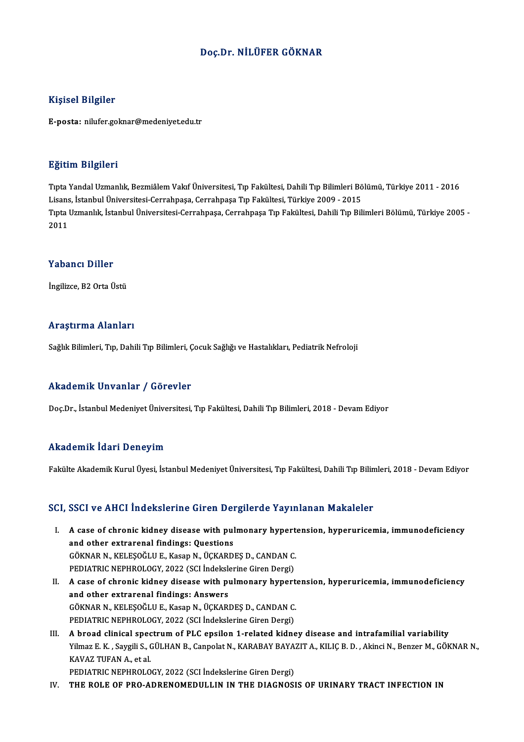### Doç.Dr.NİLÜFER GÖKNAR

### Kişisel Bilgiler

E-posta: nilufer.goknar@medeniyet.edu.tr

#### Eğitim Bilgileri

**Eğitim Bilgileri**<br>Tıpta Yandal Uzmanlık, Bezmiâlem Vakıf Üniversitesi, Tıp Fakültesi, Dahili Tıp Bilimleri Bölümü, Türkiye 2011 - 2016<br>Lisans, İstanbul Üniversitesi Cerrahnasa, Cerrahnasa Tıp Fakültesi, Türkiye 2009, -201 Listans, Englisch<br>Tipta Yandal Uzmanlık, Bezmiâlem Vakıf Üniversitesi, Tıp Fakültesi, Dahili Tıp Bilimleri Bö<br>Lisans, İstanbul Üniversitesi-Cerrahpaşa, Cerrahpaşa Tıp Fakültesi, Türkiye 2009 - 2015<br>Tinta Hamanlık, İstanbul Tıpta Uzmanlık, İstanbul Üniversitesi-Cerrahpaşa, Cerrahpaşa Tıp Fakültesi, Dahili Tıp Bilimleri Bölümü, Türkiye 2005 -<br>2011 Lisans, İstanbul Üniversitesi-Cerrahpaşa, Cerrahpaşa Tıp Fakültesi, Türkiye 2009 - 2015

#### Yabancı Diller

İngilizce, B2 Orta Üstü

#### Araştırma Alanları

Sağlık Bilimleri, Tıp, Dahili Tıp Bilimleri, Çocuk Sağlığı ve Hastalıkları, Pediatrik Nefroloji

### Akademik Unvanlar / Görevler

Doç.Dr., İstanbul Medeniyet Üniversitesi, Tıp Fakültesi, Dahili Tıp Bilimleri, 2018 - Devam Ediyor

### Akademik İdari Deneyim

Fakülte Akademik Kurul Üyesi, İstanbul Medeniyet Üniversitesi, Tıp Fakültesi, Dahili Tıp Bilimleri, 2018 - Devam Ediyor

### SCI, SSCI ve AHCI İndekslerine Giren Dergilerde Yayınlanan Makaleler

- CI, SSCI ve AHCI İndekslerine Giren Dergilerde Yayınlanan Makaleler<br>I. A case of chronic kidney disease with pulmonary hypertension, hyperuricemia, immunodeficiency<br>and other extrarenal findings: Questions A case of chronic kidney disease with pul<br>and other extrarenal findings: Questions<br>COVMAR N. VELESOČLUE, Vasan N. ÜCVARD A case of chronic kidney disease with pulmonary hypert<br>and other extrarenal findings: Questions<br>GÖKNAR N., KELEŞOĞLU E., Kasap N., ÜÇKARDEŞ D., CANDAN C.<br>PEDIATRIC NEPHROLOCY, 2022 (SCLİndekslerine Giren Dergi) and other extrarenal findings: Questions<br>GÖKNAR N., KELEŞOĞLU E., Kasap N., ÜÇKARDEŞ D., CANDAN C.<br>PEDIATRIC NEPHROLOGY, 2022 (SCI İndekslerine Giren Dergi)
- II. A case of chronic kidney disease with pulmonary hypertension, hyperuricemia, immunodeficiency and other extrarenal findings: Answers A case of chronic kidney disease with pulmonary hypert<br>and other extrarenal findings: Answers<br>GÖKNAR N., KELEŞOĞLU E., Kasap N., ÜÇKARDEŞ D., CANDAN C.<br>PEDIATRIC NEPHROLOCY, 2022 (SCLİndekslerine Giren Dergi) and other extrarenal findings: Answers<br>GÖKNAR N., KELEŞOĞLU E., Kasap N., ÜÇKARDEŞ D., CANDAN C.<br>PEDIATRIC NEPHROLOGY, 2022 (SCI İndekslerine Giren Dergi)<br>A hraad alinisal spestrum of BLC ansilan 1 ralatad kidne GÖKNAR N., KELEŞOĞLU E., Kasap N., ÜÇKARDEŞ D., CANDAN C.<br>PEDIATRIC NEPHROLOGY, 2022 (SCI İndekslerine Giren Dergi)<br>III. A broad clinical spectrum of PLC epsilon 1-related kidney disease and intrafamilial variability<br>Vilme
- PEDIATRIC NEPHROLOGY, 2022 (SCI İndekslerine Giren Dergi)<br>A broad clinical spectrum of PLC epsilon 1-related kidney disease and intrafamilial variability<br>Yilmaz E. K. , Saygili S., GÜLHAN B., Canpolat N., KARABAY BAYAZIT A A broad clinical spec<br>Yilmaz E. K. , Saygili S., (<br>KAVAZ TUFAN A., et al.<br>PEDIATRIC NEPHROLO Yilmaz E. K. , Saygili S., GÜLHAN B., Canpolat N., KARABAY BAYA:<br>KAVAZ TUFAN A., et al.<br>PEDIATRIC NEPHROLOGY, 2022 (SCI İndekslerine Giren Dergi)<br>THE ROLE OF PRO ADRENOMEDILLIN IN THE DIACNOSI KAVAZ TUFAN A., et al.<br>PEDIATRIC NEPHROLOGY, 2022 (SCI İndekslerine Giren Dergi)<br>IV. THE ROLE OF PRO-ADRENOMEDULLIN IN THE DIAGNOSIS OF URINARY TRACT INFECTION IN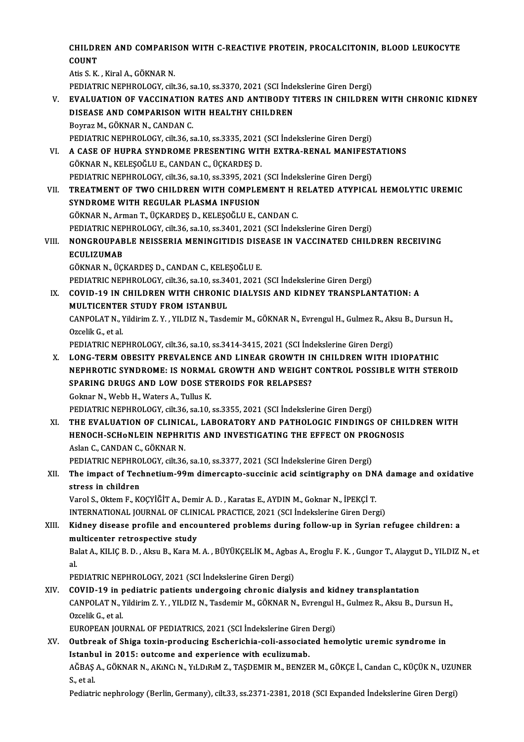### CHILDREN AND COMPARISON WITH C-REACTIVE PROTEIN, PROCALCITONIN, BLOOD LEUKOCYTE<br>COUNT CHILDR<br>COUNT<br>Atis S. K COUNT<br>Atis S.K., Kiral A., GÖKNAR N.

COUNT<br>Atis S. K. , Kiral A., GÖKNAR N.<br>PEDIATRIC NEPHROLOGY, cilt.36, sa.10, ss.3370, 2021 (SCI İndekslerine Giren Dergi)<br>EVALUATION OE VACCINATION BATES AND ANTIBODY TITERS IN CHILDREI V. EVALUATION OF VACCINATION RATES AND ANTIBODY TITERS IN CHILDREN WITH CHRONIC KIDNEY<br>DISEASE AND COMPARISON WITH HEALTHY CHILDREN PEDIATRIC NEPHROLOGY, cilt.36, sa.10, ss.3370, 2021 (SCI İnde<br>EVALUATION OF VACCINATION RATES AND ANTIBODY T<br>DISEASE AND COMPARISON WITH HEALTHY CHILDREN<br>Boyraz M. CÖKNAR N. CANDAN C

Boyraz M., GÖKNAR N., CANDAN C. PEDIATRIC NEPHROLOGY, cilt.36, sa.10, ss.3335, 2021 (SCI İndekslerine Giren Dergi) Boyraz M., GÖKNAR N., CANDAN C.<br>PEDIATRIC NEPHROLOGY, cilt.36, sa.10, ss.3335, 2021 (SCI İndekslerine Giren Dergi)<br>VI. – A CASE OF HUPRA SYNDROME PRESENTING WITH EXTRA-RENAL MANIFESTATIONS<br>CÖKNAR N. KELESOĞLU E. CANDAN C. PEDIATRIC NEPHROLOGY, cilt36, sa.10, ss.3335, 2021<br>A CASE OF HUPRA SYNDROME PRESENTING WIT<br>GÖKNAR N., KELEŞOĞLU E., CANDAN C., ÜÇKARDEŞ D.<br>PEDIATRIC NEPHROLOGY, silt36, sa.10, ss.3395, 2021

A CASE OF HUPRA SYNDROME PRESENTING WITH EXTRA-RENAL MANIFEST<br>GÖKNAR N., KELEŞOĞLU E., CANDAN C., ÜÇKARDEŞ D.<br>PEDIATRIC NEPHROLOGY, cilt.36, sa.10, ss.3395, 2021 (SCI İndekslerine Giren Dergi)<br>TREATMENT OE TWO CHILDREN WIT GÖKNAR N., KELEŞOĞLU E., CANDAN C., ÜÇKARDEŞ D.<br>PEDIATRIC NEPHROLOGY, cilt.36, sa.10, ss.3395, 2021 (SCI İndekslerine Giren Dergi)<br>VII. TREATMENT OF TWO CHILDREN WITH COMPLEMENT H RELATED ATYPICAL HEMOLYTIC UREMIC<br>SYND PEDIATRIC NEPHROLOGY, cilt.36, sa.10, ss.3395, 2021 (SCI İndekslerine Giren Dergi)

GÖKNARN.,ArmanT.,ÜÇKARDEŞD.,KELEŞOĞLUE.,CANDANC. SYNDROME WITH REGULAR PLASMA INFUSION<br>GÖKNAR N., Arman T., ÜÇKARDEŞ D., KELEŞOĞLU E., CANDAN C.<br>PEDIATRIC NEPHROLOGY, cilt.36, sa.10, ss.3401, 2021 (SCI İndekslerine Giren Dergi)<br>NONCROURARLE NEISSERLA MENINCITIDIS DISEASE GÖKNAR N., Arman T., ÜÇKARDEŞ D., KELEŞOĞLU E., CANDAN C.<br>PEDIATRIC NEPHROLOGY, cilt.36, sa.10, ss.3401, 2021 (SCI İndekslerine Giren Dergi)<br>VIII. NONGROUPABLE NEISSERIA MENINGITIDIS DISEASE IN VACCINATED CHILDREN RECE

## PEDIATRIC NEP<br>NONGROUPAB<br>ECULIZUMAB<br>CÖYNAB N. ÜCI NONGROUPABLE NEISSERIA MENINGITIDIS DISI<br>ECULIZUMAB<br>GÖKNAR N., ÜÇKARDEŞ D., CANDAN C., KELEŞOĞLU E.<br>PEDIATRIC NEPHROLOCY. sil 26.22.10. SS 2401-2021 ECULIZUMAB<br>GÖKNAR N., ÜÇKARDEŞ D., CANDAN C., KELEŞOĞLU E.<br>PEDIATRIC NEPHROLOGY, cilt.36, sa.10, ss.3401, 2021 (SCI İndekslerine Giren Dergi)<br>COVID 10 IN GUH DREN WITH GURONIC DIALYSIS AND KIDNEY TRANSPLAN

GÖKNAR N., ÜÇKARDEŞ D., CANDAN C., KELEŞOĞLU E.<br>PEDIATRIC NEPHROLOGY, cilt.36, sa.10, ss.3401, 2021 (SCI İndekslerine Giren Dergi)<br>IX. COVID-19 IN CHILDREN WITH CHRONIC DIALYSIS AND KIDNEY TRANSPLANTATION: A

PEDIATRIC NEPHROLOGY, cilt.36, sa.10, ss.34<br>COVID-19 IN CHILDREN WITH CHRONIC<br>MULTICENTER STUDY FROM ISTANBUL<br>CANPOLAT N. Vildivim 7 V., VILDIZ N. Teede COVID-19 IN CHILDREN WITH CHRONIC DIALYSIS AND KIDNEY TRANSPLANTATION: A<br>MULTICENTER STUDY FROM ISTANBUL<br>CANPOLAT N., Yildirim Z. Y. , YILDIZ N., Tasdemir M., GÖKNAR N., Evrengul H., Gulmez R., Aksu B., Dursun H.,<br>Ozgalik MULTICENTER STUDY FROM ISTANBUL<br>CANPOLAT N., Yildirim Z. Y. , YILDIZ N., Tasdemir M., GÖKNAR N., Evrengul H., Gulmez R., Ak<br>Ozcelik G., et al.<br>PEDIATRIC NEPHROLOGY, cilt.36, sa.10, ss.3414-3415, 2021 (SCI İndekslerine Gire CANPOLAT N., Yildirim Z. Y. , YILDIZ N., Tasdemir M., GÖKNAR N., Evrengul H., Gulmez R., Ak:<br>Ozcelik G., et al.<br>PEDIATRIC NEPHROLOGY, cilt.36, sa.10, ss.3414-3415, 2021 (SCI İndekslerine Giren Dergi)<br>LONG TERM ORESITY RREV

Ozcelik G., et al.<br>PEDIATRIC NEPHROLOGY, cilt.36, sa.10, ss.3414-3415, 2021 (SCI İndekslerine Giren Dergi)<br>X. LONG-TERM OBESITY PREVALENCE AND LINEAR GROWTH IN CHILDREN WITH IDIOPATHIC<br>NEPUROTIC SYNDROME: IS NORMAL CROWTH PEDIATRIC NEPHROLOGY, cilt.36, sa.10, ss.3414-3415, 2021 (SCI İndekslerine Giren Dergi)<br>LONG-TERM OBESITY PREVALENCE AND LINEAR GROWTH IN CHILDREN WITH IDIOPATHIC<br>NEPHROTIC SYNDROME: IS NORMAL GROWTH AND WEIGHT CONTROL POS LONG-TERM OBESITY PREVALENCE AND LINEAR GROWTH IN<br>NEPHROTIC SYNDROME: IS NORMAL GROWTH AND WEIGHT<br>SPARING DRUGS AND LOW DOSE STEROIDS FOR RELAPSES?<br>Colmar N. Wobb H. Wators A. Tullus K. **NEPHROTIC SYNDROME: IS NORMAL<br>SPARING DRUGS AND LOW DOSE ST<br>Goknar N., Webb H., Waters A., Tullus K.<br>PEDIATRIC NEPHROLOCY silt 36 sp.10.** SPARING DRUGS AND LOW DOSE STEROIDS FOR RELAPSES?<br>Goknar N., Webb H., Waters A., Tullus K.<br>PEDIATRIC NEPHROLOGY, cilt.36, sa.10, ss.3355, 2021 (SCI İndekslerine Giren Dergi)

XI. THE EVALUATION OF CLINICAL, LABORATORY AND PATHOLOGIC FINDINGS OF CHILDRENWITH PEDIATRIC NEPHROLOGY, cilt.36, sa.10, ss.3355, 2021 (SCI İndekslerine Giren Dergi)<br>THE EVALUATION OF CLINICAL, LABORATORY AND PATHOLOGIC FINDINGS OF CHII<br>HENOCH-SCHONLEIN NEPHRITIS AND INVESTIGATING THE EFFECT ON PROGNOSIS THE EVALUATION OF CLINIC.<br>HENOCH-SCHoNLEIN NEPHRI<br>Aslan C., CANDAN C., GÖKNAR N.<br>PEDIATRIC NEPHROLOCY. silt 26 Aslan C., CANDAN C., GÖKNAR N.<br>PEDIATRIC NEPHROLOGY, cilt.36, sa.10, ss.3377, 2021 (SCI İndekslerine Giren Dergi)

## Aslan C., CANDAN C., GÖKNAR N.<br>PEDIATRIC NEPHROLOGY, cilt.36, sa.10, ss.3377, 2021 (SCI İndekslerine Giren Dergi)<br>XII. The impact of Technetium-99m dimercapto-succinic acid scintigraphy on DNA damage and oxidative<br> PEDIATRIC NEPHRO<br>The impact of Teck<br>stress in children<br>Varol S. Oktom E. K The impact of Technetium-99m dimercapto-succinic acid scintigraphy on DN<br>stress in children<br>Varol S., Oktem F., KOÇYİĞİT A., Demir A. D. , Karatas E., AYDIN M., Goknar N., İPEKÇİ T.<br>INTERNATIONAL JOURNAL OF GLINICAL PRACTI

stress in children<br>Varol S., Oktem F., KOÇYİĞİT A., Demir A. D. , Karatas E., AYDIN M., Goknar N., İPEKÇİ T.<br>INTERNATIONAL JOURNAL OF CLINICAL PRACTICE, 2021 (SCI İndekslerine Giren Dergi)

## Varol S., Oktem F., KOÇYİĞİT A., Demir A. D. , Karatas E., AYDIN M., Goknar N., İPEKÇİ T.<br>INTERNATIONAL JOURNAL OF CLINICAL PRACTICE, 2021 (SCI İndekslerine Giren Dergi)<br>XIII. Kidney disease profile and encountered pro INTERNATIONAL JOURNAL OF CLIN<br>Kidney disease profile and enco<br>multicenter retrospective study<br>Palat A. KU IC B. D. Akay B. Kara M Kidney disease profile and encountered problems during follow-up in Syrian refugee children: a<br>multicenter retrospective study<br>Balat A., KILIÇ B. D. , Aksu B., Kara M. A. , BÜYÜKÇELİK M., Agbas A., Eroglu F. K. , Gungor T.

mu<br>Ba<br>pr Balat A., KILIÇ B. D. , Aksu B., Kara M. A. , BÜYÜKÇELİK M., Agbas A., Eroglu F. K. , Gungor T., Alaygut D., YILDIZ N., et<br>al.<br>PEDIATRIC NEPHROLOGY, 2021 (SCI İndekslerine Giren Dergi)

### al.<br>PEDIATRIC NEPHROLOGY, 2021 (SCI İndekslerine Giren Dergi)<br>XIV. COVID-19 in pediatric patients undergoing chronic dialysis and kidney transplantation<br>CANPOLAT N. Vildinim 7, V. VILDIZ N. Tesdemir M. CÖKNAR N. Europeul H PEDIATRIC NEPHROLOGY, 2021 (SCI İndekslerine Giren Dergi)<br>COVID-19 in pediatric patients undergoing chronic dialysis and kidney transplantation<br>CANPOLAT N., Yildirim Z. Y. , YILDIZ N., Tasdemir M., GÖKNAR N., Evrengul H., COVID-19 in p<br>CANPOLAT N., Y<br>Ozcelik G., et al.<br>EUROPEAN JOU CANPOLAT N., Yildirim Z. Y. , YILDIZ N., Tasdemir M., GÖKNAR N., Evrengul I<br>Ozcelik G., et al.<br>EUROPEAN JOURNAL OF PEDIATRICS, 2021 (SCI İndekslerine Giren Dergi)<br>Outbreak of Shiga tayin produging Escharishia seli associat Ozcelik G., et al.<br>EUROPEAN JOURNAL OF PEDIATRICS, 2021 (SCI İndekslerine Giren Dergi)<br>XV. Outbreak of Shiga toxin-producing Escherichia-coli-associated hemolytic uremic syndrome in

EUROPEAN JOURNAL OF PEDIATRICS, 2021 (SCI Indekslerine Giren<br>Outbreak of Shiga toxin-producing Escherichia-coli-associat<br>Istanbul in 2015: outcome and experience with eculizumab.<br>AČPAS A. CÖKNAR N. AKNG N. VI D.B.M.Z. TASD

AĞBAŞ A., GÖKNAR N., AKıNCı N., YıLDıRıM Z., TAŞDEMIR M., BENZER M., GÖKÇE İ., Candan C., KÜÇÜK N., UZUNER<br>S., et al. I<mark>stanb</mark>ı<br>AĞBAŞ<br>S., et al.

Pediatric nephrology (Berlin, Germany), cilt.33, ss.2371-2381, 2018 (SCI Expanded İndekslerine Giren Dergi)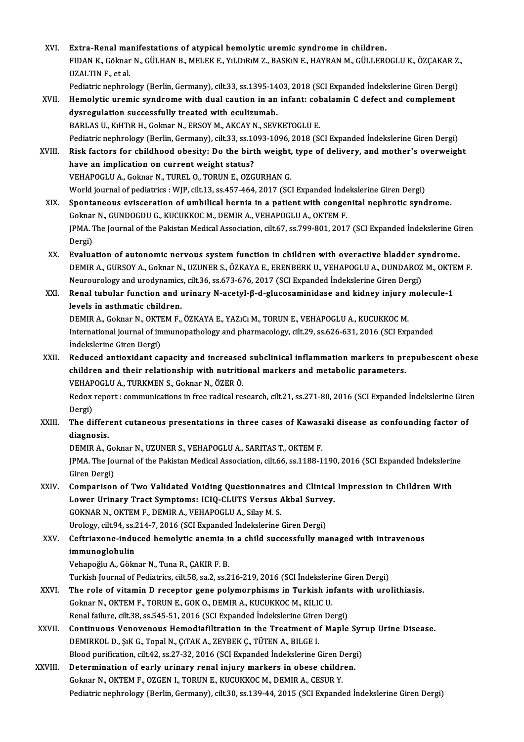- XVI.<br>XVI. Extra-Renal manifestations of atypical hemolytic uremic syndrome in children.<br>EIDAN K. Gölmen N. CÜLHAN B. MELEKE, VI D.P.M.Z. BASK.N.E. HAVRAN M. CÜLLERG Extra-Renal manifestations of atypical hemolytic uremic syndrome in children.<br>FIDAN K., Göknar N., GÜLHAN B., MELEK E., YıLDıRıM Z., BASKıN E., HAYRAN M., GÜLLEROGLU K., ÖZÇAKAR Z.,<br>QZALTIN E. et al <mark>Extra-Renal ma</mark><br>FIDAN K., Göknar<br>OZALTIN F., et al.<br><sup>Dodiatria</sup> nophrol FIDAN K., Göknar N., GÜLHAN B., MELEK E., YıLDıRıM Z., BASKıN E., HAYRAN M., GÜLLEROGLU K., ÖZÇAKAR Z.<br>OZALTIN F., et al.<br>Pediatric nephrology (Berlin, Germany), cilt.33, ss.1395-1403, 2018 (SCI Expanded İndekslerine Giren Pediatric nephrology (Berlin, Germany), cilt.33, ss.1395-1403, 2018 (SCI Expanded Indekslerine Giren Dergi)
- OZALTIN F., et al.<br>Pediatric nephrology (Berlin, Germany), cilt.33, ss.1395-1403, 2018 (SCI Expanded Indekslerine Giren Dergi)<br>XVII. Hemolytic uremic syndrome with dual caution in an infant: cobalamin C defect and compleme BARLAS U., KıHTıR H., Goknar N., ERSOY M., AKCAY N., SEVKETOGLU E.

Pediatric nephrology (Berlin, Germany), cilt.33, ss.1093-1096, 2018 (SCI Expanded İndekslerine Giren Dergi) BARLAS U., KıHTıR H., Goknar N., ERSOY M., AKCAY N., SEVKETOGLU E.<br>Pediatric nephrology (Berlin, Germany), cilt.33, ss.1093-1096, 2018 (SCI Expanded Indekslerine Giren Dergi)<br>XVIII. Risk factors for childhood obesity: Do t Pediatric nephrology (Berlin, Germany), cilt.33, ss.10<br>Risk factors for childhood obesity: Do the birt<br>have an implication on current weight status?<br>VEHAPOCLUA, Colmar N, TUBEL O, TOBUNE, OZC Risk factors for childhood obesity: Do the birth weight,<br>have an implication on current weight status?<br>VEHAPOGLU A., Goknar N., TUREL O., TORUN E., OZGURHAN G.<br>Werld journal of podiatrics : WIP. silt 12, ss.457,464,2017.(S have an implication on current weight status?<br>VEHAPOGLU A., Goknar N., TUREL O., TORUN E., OZGURHAN G.<br>World journal of pediatrics : WJP, cilt.13, ss.457-464, 2017 (SCI Expanded İndekslerine Giren Dergi)

- XIX. Spontaneous evisceration of umbilical hernia in a patient with congenital nephrotic syndrome. World journal of pediatrics : WJP, cilt.13, ss.457-464, 2017 (SCI Expanded Inde<br>Spontaneous evisceration of umbilical hernia in a patient with congel<br>Goknar N., GUNDOGDU G., KUCUKKOC M., DEMIR A., VEHAPOGLU A., OKTEM F.<br>IP Spontaneous evisceration of umbilical hernia in a patient with congenital nephrotic syndrome.<br>Goknar N., GUNDOGDU G., KUCUKKOC M., DEMIR A., VEHAPOGLU A., OKTEM F.<br>JPMA. The Journal of the Pakistan Medical Association, cil Goknar<br>JPMA. 1<br>Dergi)<br>Evelve JPMA. The Journal of the Pakistan Medical Association, cilt.67, ss.799-801, 2017 (SCI Expanded Indekslerine Gi<br>Dergi)<br>XX. Evaluation of autonomic nervous system function in children with overactive bladder syndrome.
- Dergi)<br>XX. Evaluation of autonomic nervous system function in children with overactive bladder syndrome.<br>DEMIR A., GURSOY A., Goknar N., UZUNER S., ÖZKAYA E., ERENBERK U., VEHAPOGLU A., DUNDAROZ M., OKTEM F. Neurourology and urodynamics, cilt.36, ss.673-676,2017 (SCIExpanded İndekslerineGirenDergi) DEMIR A., GURSOY A., Goknar N., UZUNER S., ÖZKAYA E., ERENBERK U., VEHAPOGLU A., DUNDAROZ M., OKTE<br>Neurourology and urodynamics, cilt.36, ss.673-676, 2017 (SCI Expanded Indekslerine Giren Dergi)<br>XXI. Renal tubular functio
- Neurourology and urodynamics<br>Renal tubular function and u<br>levels in asthmatic children.<br>DEMIP A. Colmar N. OKTEM E Renal tubular function and urinary N-acetyl-β-d-glucosaminidase and kidney injury<br>levels in asthmatic children.<br>DEMIR A., Goknar N., OKTEM F., ÖZKAYA E., YAZıCı M., TORUN E., VEHAPOGLU A., KUCUKKOC M.<br>International journa levels in asthmatic children.<br>DEMIR A., Goknar N., OKTEM F., ÖZKAYA E., YAZıCı M., TORUN E., VEHAPOGLU A., KUCUKKOC M.<br>International journal of immunopathology and pharmacology, cilt.29, ss.626-631, 2016 (SCI Expanded<br>Inde

**DEMIR A., Goknar N., OKTI**<br>International journal of im<br>Indekslerine Giren Dergi)<br>Poduced antioxidant co International journal of immunopathology and pharmacology, cilt.29, ss.626-631, 2016 (SCI Expanded<br>
indekslerine Giren Dergi)<br>
XXII. Reduced antioxidant capacity and increased subclinical inflammation markers in prepubesce

indekslerine Giren Dergi)<br>Reduced antioxidant capacity and increased subclinical inflammation markers in pro<br>children and their relationship with nutritional markers and metabolic parameters.<br>VEHAPOCLU A. TURKMENS Golman N Reduced antioxidant capacity and increased<br>children and their relationship with nutrition<br>VEHAPOGLU A., TURKMEN S., Goknar N., ÖZER Ö.<br>Bedev renert i semmunisations in free redisel re children and their relationship with nutritional markers and metabolic parameters.<br>VEHAPOGLU A., TURKMEN S., Goknar N., ÖZER Ö.<br>Redox report : communications in free radical research, cilt.21, ss.271-80, 2016 (SCI Expanded

VEHAPOGLU A., TURKMEN S., Goknar N., ÖZER Ö.<br>Redox report : communications in free radical res<br>Dergi) Redox report : communications in free radical research, cilt.21, ss.271-80, 2016 (SCI Expanded Indekslerine Gire<br>Dergi)<br>XXIII. The different cutaneous presentations in three cases of Kawasaki disease as confounding factor

# The different cutaneous presentations in three cases of Kawasaki disease as confounding factor of diagnosis.

DEMIR A., Goknar N., UZUNER S., VEHAPOGLU A., SARITAS T., OKTEM F. diagnosis.<br>DEMIR A., Goknar N., UZUNER S., VEHAPOGLU A., SARITAS T., OKTEM F.<br>JPMA. The Journal of the Pakistan Medical Association, cilt.66, ss.1188-1190, 2016 (SCI Expanded İndekslerine<br>Ciron Dergi) DEMIR A., Go<br>JPMA. The Jou<br>Giren Dergi)<br>Comnarisan JPMA. The Journal of the Pakistan Medical Association, cilt.66, ss.1188-1190, 2016 (SCI Expanded Indekslerir<br>Giren Dergi)<br>XXIV. Comparison of Two Validated Voiding Questionnaires and Clinical Impression in Children With

Giren Dergi)<br>Comparison of Two Validated Voiding Questionnaires and Clinical<br>Lower Urinary Tract Symptoms: ICIQ-CLUTS Versus Akbal Survey.<br>COKNAR N. OKTEM E. DEMIR A. VEHAPOCLU A. Silay M.S. Comparison of Two Validated Voiding Questionnaire:<br>Lower Urinary Tract Symptoms: ICIQ-CLUTS Versus *I*<br>GOKNAR N., OKTEM F., DEMIR A., VEHAPOGLU A., Silay M. S.<br>Urology silt 94, ss 214, 7, 2016 (SCLEvnanded Indekslering I Lower Urinary Tract Symptoms: ICIQ-CLUTS Versus Akbal Surve<br>GOKNAR N., OKTEM F., DEMIR A., VEHAPOGLU A., Silay M. S.<br>Urology, cilt.94, ss.214-7, 2016 (SCI Expanded İndekslerine Giren Dergi)<br>Ceftriavone indused bemelutis an

# GOKNAR N., OKTEM F., DEMIR A., VEHAPOGLU A., Silay M. S.<br>Urology, cilt.94, ss.214-7, 2016 (SCI Expanded Indekslerine Giren Dergi)<br>XXV. Ceftriaxone-induced hemolytic anemia in a child successfully managed with intravenous<br>i Urology, cilt.94, ss.<mark>2</mark><br>Ceftriaxone-indu<br>immunoglobulin<br>Vebanoğlu A. Gölm <mark>immunoglobulin</mark><br>Vehapoğlu A., Göknar N., Tuna R., ÇAKIR F. B.<br>Turkish Journal of Pediatrics, cilt.58, sa.2, ss.216-219, 2016 (SCI İndekslerine Giren Dergi)<br>The role of vitemin D. regenter sene polymorphisms in Turkish inf

Vehapoğlu A., Göknar N., Tuna R., ÇAKIR F. B.

- Vehapoğlu A., Göknar N., Tuna R., ÇAKIR F. B.<br>Turkish Journal of Pediatrics, cilt.58, sa.2, ss.216-219, 2016 (SCI İndekslerine Giren Dergi)<br>XXVI. The role of vitamin D receptor gene polymorphisms in Turkish infants with ur Turkish Journal of Pediatrics, cilt.58, sa.2, ss.216-219, 2016 (SCI İndeksleri<br>The role of vitamin D receptor gene polymorphisms in Turkish in<br>Goknar N., OKTEM F., TORUN E., GOK O., DEMIR A., KUCUKKOC M., KILIC U.<br>Penal fo The role of vitamin D receptor gene polymorphisms in Turkish infant<br>Goknar N., OKTEM F., TORUN E., GOK O., DEMIR A., KUCUKKOC M., KILIC U.<br>Renal failure, cilt.38, ss.545-51, 2016 (SCI Expanded İndekslerine Giren Dergi)<br>Con Goknar N., OKTEM F., TORUN E., GOK O., DEMIR A., KUCUKKOC M., KILIC U.<br>Renal failure, cilt.38, ss.545-51, 2016 (SCI Expanded Indekslerine Giren Dergi)<br>XXVII. Continuous Venovenous Hemodiafiltration in the Treatment of Mapl
- Renal failure, cilt.38, ss.545-51, 2016 (SCI Expanded Indekslerine Giren Dergi)<br>Continuous Venovenous Hemodiafiltration in the Treatment of Maple<br>DEMIRKOL D., ŞıK G., Topal N., ÇıTAK A., ZEYBEK Ç., TÜTEN A., BILGE I. Continuous Venovenous Hemodiafiltration in the Treatment of Maple Syr<br>DEMIRKOL D., ŞıK G., Topal N., ÇıTAK A., ZEYBEK Ç., TÜTEN A., BILGE I.<br>Blood purification, cilt.42, ss.27-32, 2016 (SCI Expanded İndekslerine Giren Derg DEMIRKOL D., ŞıK G., Topal N., ÇıTAK A., ZEYBEK Ç., TÜTEN A., BILGE I.<br>Blood purification, cilt.42, ss.27-32, 2016 (SCI Expanded Indekslerine Giren Derg<br>XXVIII. Determination of early urinary renal injury markers in obese
- Blood purification, cilt.42, ss.27-32, 2016 (SCI Expanded Indekslerine Giren D<br>Determination of early urinary renal injury markers in obese childr<br>Goknar N., OKTEM F., OZGEN I., TORUN E., KUCUKKOC M., DEMIR A., CESUR Y.<br>Pe Determination of early urinary renal injury markers in obese children.<br>Goknar N., OKTEM F., OZGEN I., TORUN E., KUCUKKOC M., DEMIR A., CESUR Y.<br>Pediatric nephrology (Berlin, Germany), cilt.30, ss.139-44, 2015 (SCI Expanded